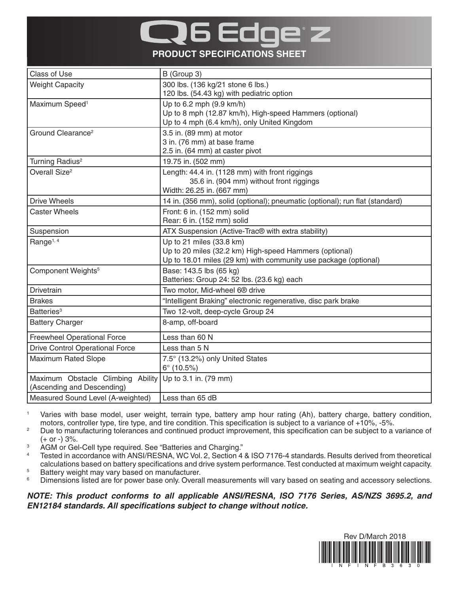## 6 60 **PRODUCT SPECIFICATIONS SHEET**

| Class of Use                           | B (Group 3)                                                                  |
|----------------------------------------|------------------------------------------------------------------------------|
| <b>Weight Capacity</b>                 | 300 lbs. (136 kg/21 stone 6 lbs.)                                            |
|                                        | 120 lbs. (54.43 kg) with pediatric option                                    |
| Maximum Speed <sup>1</sup>             | Up to 6.2 mph (9.9 km/h)                                                     |
|                                        | Up to 8 mph (12.87 km/h), High-speed Hammers (optional)                      |
|                                        | Up to 4 mph (6.4 km/h), only United Kingdom                                  |
| Ground Clearance <sup>2</sup>          | 3.5 in. (89 mm) at motor                                                     |
|                                        | 3 in. (76 mm) at base frame                                                  |
|                                        | 2.5 in. (64 mm) at caster pivot                                              |
| Turning Radius <sup>2</sup>            | 19.75 in. (502 mm)                                                           |
| Overall Size <sup>2</sup>              | Length: 44.4 in. (1128 mm) with front riggings                               |
|                                        | 35.6 in. (904 mm) without front riggings                                     |
|                                        | Width: 26.25 in. (667 mm)                                                    |
| <b>Drive Wheels</b>                    | 14 in. (356 mm), solid (optional); pneumatic (optional); run flat (standard) |
| <b>Caster Wheels</b>                   | Front: 6 in. (152 mm) solid                                                  |
|                                        | Rear: 6 in. (152 mm) solid                                                   |
| Suspension                             | ATX Suspension (Active-Trac <sup>®</sup> with extra stability)               |
| Range <sup>1, 4</sup>                  | Up to 21 miles (33.8 km)                                                     |
|                                        | Up to 20 miles (32.2 km) High-speed Hammers (optional)                       |
|                                        | Up to 18.01 miles (29 km) with community use package (optional)              |
| Component Weights <sup>5</sup>         | Base: 143.5 lbs (65 kg)                                                      |
|                                        | Batteries: Group 24: 52 lbs. (23.6 kg) each                                  |
| Drivetrain                             | Two motor, Mid-wheel 6 <sup>®</sup> drive                                    |
| <b>Brakes</b>                          | "Intelligent Braking" electronic regenerative, disc park brake               |
| Batteries <sup>3</sup>                 | Two 12-volt, deep-cycle Group 24                                             |
| <b>Battery Charger</b>                 | 8-amp, off-board                                                             |
| <b>Freewheel Operational Force</b>     | Less than 60 N                                                               |
| <b>Drive Control Operational Force</b> | Less than 5 N                                                                |
| <b>Maximum Rated Slope</b>             | 7.5° (13.2%) only United States                                              |
|                                        | $6^{\circ}$ (10.5%)                                                          |
| Maximum Obstacle Climbing Ability      | Up to 3.1 in. (79 mm)                                                        |
| (Ascending and Descending)             |                                                                              |
| Measured Sound Level (A-weighted)      | Less than 65 dB                                                              |

<sup>1</sup> Varies with base model, user weight, terrain type, battery amp hour rating (Ah), battery charge, battery condition, motors, controller type, tire type, and tire condition. This specification is subject to a variance of +10%, -5%.

- <sup>2</sup> Due to manufacturing tolerances and continued product improvement, this specification can be subject to a variance of  $(+ or -) 3%$ .
- <sup>3</sup> AGM or Gel-Cell type required. See "Batteries and Charging."
- <sup>4</sup> Tested in accordance with ANSI/RESNA, WC Vol. 2, Section 4 & ISO 7176-4 standards. Results derived from theoretical calculations based on battery specifications and drive system performance. Test conducted at maximum weight capacity.
- <sup>5</sup> Battery weight may vary based on manufacturer.<br><sup>6</sup> Dimensions listed are for nower base only Overal
- Dimensions listed are for power base only. Overall measurements will vary based on seating and accessory selections.

*NOTE: This product conforms to all applicable ANSI/RESNA, ISO 7176 Series, AS/NZS 3695.2, and EN12184 standards. All specifications subject to change without notice.*